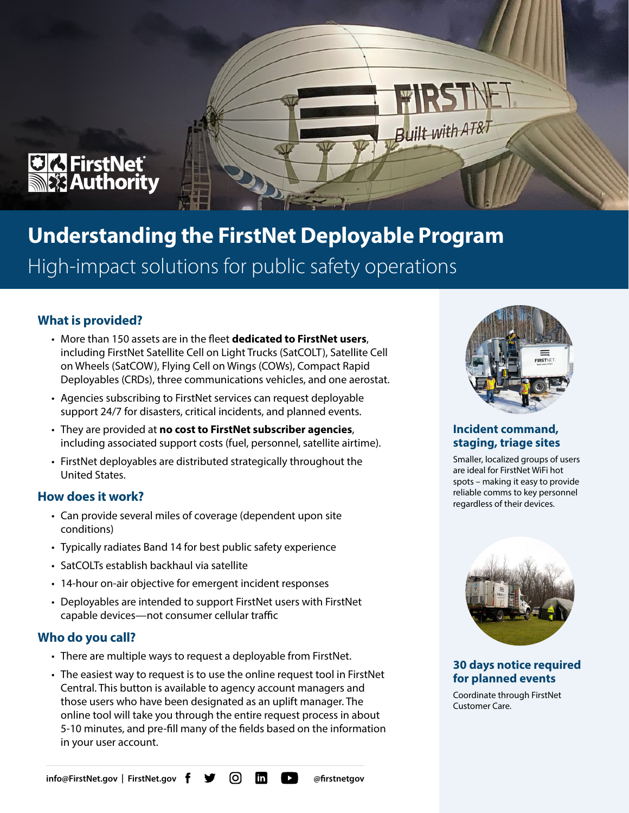

# **Understanding the FirstNet Deployable Program** High-impact solutions for public safety operations

## **What is provided?**

- More than 150 assets are in the fleet **dedicated to FirstNet users**, including FirstNet Satellite Cell on Light Trucks (SatCOLT), Satellite Cell on Wheels (SatCOW), Flying Cell on Wings (COWs), Compact Rapid Deployables (CRDs), three communications vehicles, and one aerostat.
- Agencies subscribing to FirstNet services can request deployable support 24/7 for disasters, critical incidents, and planned events.
- They are provided at **no cost to FirstNet subscriber agencies**, including associated support costs (fuel, personnel, satellite airtime).
- FirstNet deployables are distributed strategically throughout the United States.

#### **How does it work?**

- Can provide several miles of coverage (dependent upon site conditions)
- Typically radiates Band 14 for best public safety experience
- SatCOLTs establish backhaul via satellite
- 14-hour on-air objective for emergent incident responses
- Deployables are intended to support FirstNet users with FirstNet capable devices—not consumer cellular traffic

#### **Who do you call?**

- There are multiple ways to request a deployable from FirstNet.
- The easiest way to request is to use the online request tool in FirstNet Central. This button is available to agency account managers and those users who have been designated as an uplift manager. The online tool will take you through the entire request process in about 5-10 minutes, and pre-fill many of the fields based on the information in your user account.



Built with AT&

#### **Incident command, staging, triage sites**

Smaller, localized groups of users are ideal for FirstNet WiFi hot spots – making it easy to provide reliable comms to key personnel regardless of their devices.



**30 days notice required for planned events** 

Coordinate through FirstNet Customer Care.